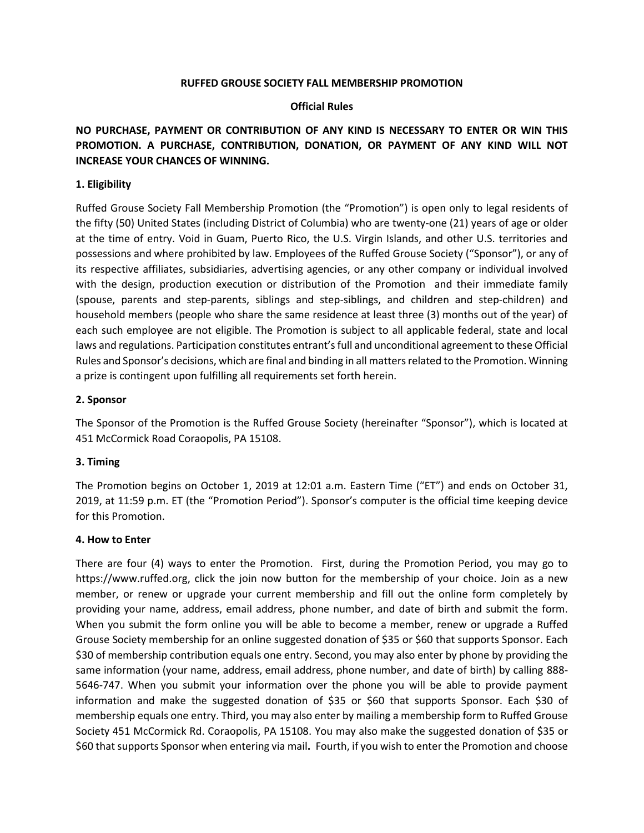#### **RUFFED GROUSE SOCIETY FALL MEMBERSHIP PROMOTION**

#### **Official Rules**

# **NO PURCHASE, PAYMENT OR CONTRIBUTION OF ANY KIND IS NECESSARY TO ENTER OR WIN THIS PROMOTION. A PURCHASE, CONTRIBUTION, DONATION, OR PAYMENT OF ANY KIND WILL NOT INCREASE YOUR CHANCES OF WINNING.**

### **1. Eligibility**

Ruffed Grouse Society Fall Membership Promotion (the "Promotion") is open only to legal residents of the fifty (50) United States (including District of Columbia) who are twenty-one (21) years of age or older at the time of entry. Void in Guam, Puerto Rico, the U.S. Virgin Islands, and other U.S. territories and possessions and where prohibited by law. Employees of the Ruffed Grouse Society ("Sponsor"), or any of its respective affiliates, subsidiaries, advertising agencies, or any other company or individual involved with the design, production execution or distribution of the Promotion and their immediate family (spouse, parents and step-parents, siblings and step-siblings, and children and step-children) and household members (people who share the same residence at least three (3) months out of the year) of each such employee are not eligible. The Promotion is subject to all applicable federal, state and local laws and regulations. Participation constitutes entrant's full and unconditional agreement to these Official Rules and Sponsor's decisions, which are final and binding in all matters related to the Promotion. Winning a prize is contingent upon fulfilling all requirements set forth herein.

#### **2. Sponsor**

The Sponsor of the Promotion is the Ruffed Grouse Society (hereinafter "Sponsor"), which is located at 451 McCormick Road Coraopolis, PA 15108.

### **3. Timing**

The Promotion begins on October 1, 2019 at 12:01 a.m. Eastern Time ("ET") and ends on October 31, 2019, at 11:59 p.m. ET (the "Promotion Period"). Sponsor's computer is the official time keeping device for this Promotion.

#### **4. How to Enter**

There are four (4) ways to enter the Promotion. First, during the Promotion Period, you may go to https://www.ruffed.org, click the join now button for the membership of your choice. Join as a new member, or renew or upgrade your current membership and fill out the online form completely by providing your name, address, email address, phone number, and date of birth and submit the form. When you submit the form online you will be able to become a member, renew or upgrade a Ruffed Grouse Society membership for an online suggested donation of \$35 or \$60 that supports Sponsor. Each \$30 of membership contribution equals one entry. Second, you may also enter by phone by providing the same information (your name, address, email address, phone number, and date of birth) by calling 888- 5646-747. When you submit your information over the phone you will be able to provide payment information and make the suggested donation of \$35 or \$60 that supports Sponsor. Each \$30 of membership equals one entry. Third, you may also enter by mailing a membership form to Ruffed Grouse Society 451 McCormick Rd. Coraopolis, PA 15108. You may also make the suggested donation of \$35 or \$60 that supports Sponsor when entering via mail**.** Fourth, if you wish to enter the Promotion and choose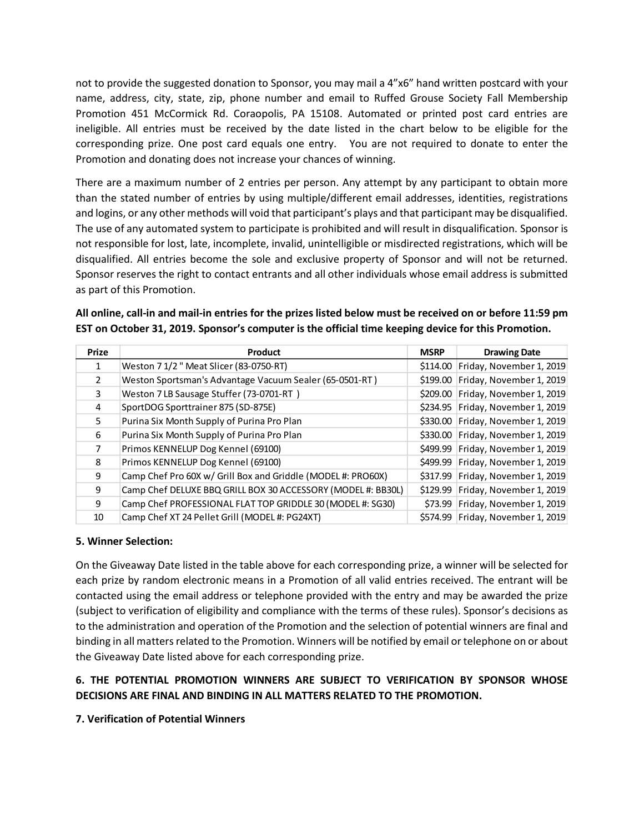not to provide the suggested donation to Sponsor, you may mail a 4"x6" hand written postcard with your name, address, city, state, zip, phone number and email to Ruffed Grouse Society Fall Membership Promotion 451 McCormick Rd. Coraopolis, PA 15108. Automated or printed post card entries are ineligible. All entries must be received by the date listed in the chart below to be eligible for the corresponding prize. One post card equals one entry. You are not required to donate to enter the Promotion and donating does not increase your chances of winning.

There are a maximum number of 2 entries per person. Any attempt by any participant to obtain more than the stated number of entries by using multiple/different email addresses, identities, registrations and logins, or any other methods will void that participant's plays and that participant may be disqualified. The use of any automated system to participate is prohibited and will result in disqualification. Sponsor is not responsible for lost, late, incomplete, invalid, unintelligible or misdirected registrations, which will be disqualified. All entries become the sole and exclusive property of Sponsor and will not be returned. Sponsor reserves the right to contact entrants and all other individuals whose email address is submitted as part of this Promotion.

| All online, call-in and mail-in entries for the prizes listed below must be received on or before 11:59 pm |
|------------------------------------------------------------------------------------------------------------|
| EST on October 31, 2019. Sponsor's computer is the official time keeping device for this Promotion.        |

| <b>Prize</b>  | Product                                                      | <b>MSRP</b> | <b>Drawing Date</b>      |
|---------------|--------------------------------------------------------------|-------------|--------------------------|
|               | Weston 7 1/2 " Meat Slicer (83-0750-RT)                      | \$114.00    | Friday, November 1, 2019 |
| $\mathcal{P}$ | Weston Sportsman's Advantage Vacuum Sealer (65-0501-RT)      | \$199.00    | Friday, November 1, 2019 |
| 3             | Weston 7 LB Sausage Stuffer (73-0701-RT)                     | \$209.00    | Friday, November 1, 2019 |
| 4             | SportDOG Sporttrainer 875 (SD-875E)                          | \$234.95    | Friday, November 1, 2019 |
| 5.            | Purina Six Month Supply of Purina Pro Plan                   | \$330.00    | Friday, November 1, 2019 |
| 6             | Purina Six Month Supply of Purina Pro Plan                   | \$330.00    | Friday, November 1, 2019 |
|               | Primos KENNELUP Dog Kennel (69100)                           | \$499.99    | Friday, November 1, 2019 |
| 8             | Primos KENNELUP Dog Kennel (69100)                           | \$499.99    | Friday, November 1, 2019 |
| 9             | Camp Chef Pro 60X w/ Grill Box and Griddle (MODEL #: PRO60X) | \$317.99    | Friday, November 1, 2019 |
| 9             | Camp Chef DELUXE BBQ GRILL BOX 30 ACCESSORY (MODEL #: BB30L) | \$129.99    | Friday, November 1, 2019 |
| 9             | Camp Chef PROFESSIONAL FLAT TOP GRIDDLE 30 (MODEL #: SG30)   | \$73.99     | Friday, November 1, 2019 |
| 10            | Camp Chef XT 24 Pellet Grill (MODEL #: PG24XT)               | \$574.99    | Friday, November 1, 2019 |

### **5. Winner Selection:**

On the Giveaway Date listed in the table above for each corresponding prize, a winner will be selected for each prize by random electronic means in a Promotion of all valid entries received. The entrant will be contacted using the email address or telephone provided with the entry and may be awarded the prize (subject to verification of eligibility and compliance with the terms of these rules). Sponsor's decisions as to the administration and operation of the Promotion and the selection of potential winners are final and binding in all matters related to the Promotion. Winners will be notified by email or telephone on or about the Giveaway Date listed above for each corresponding prize.

# **6. THE POTENTIAL PROMOTION WINNERS ARE SUBJECT TO VERIFICATION BY SPONSOR WHOSE DECISIONS ARE FINAL AND BINDING IN ALL MATTERS RELATED TO THE PROMOTION.**

**7. Verification of Potential Winners**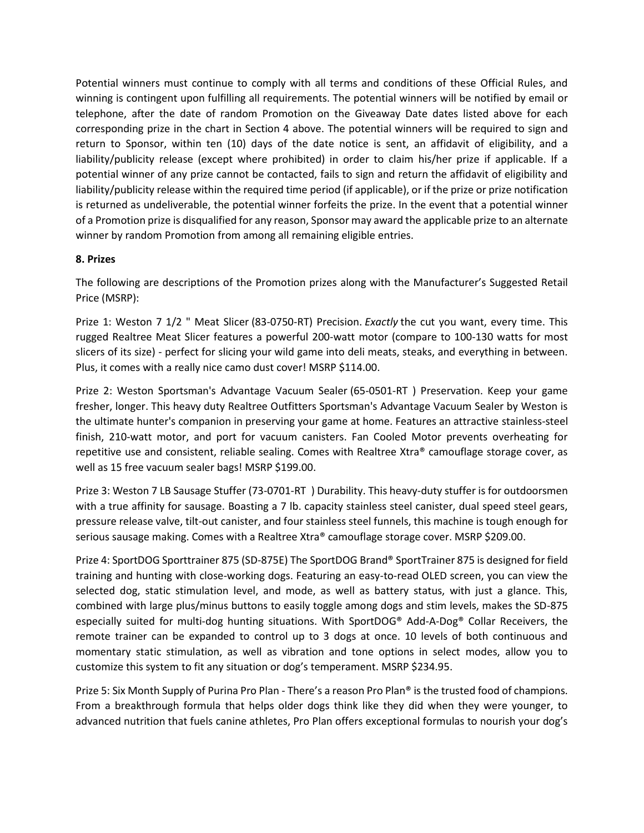Potential winners must continue to comply with all terms and conditions of these Official Rules, and winning is contingent upon fulfilling all requirements. The potential winners will be notified by email or telephone, after the date of random Promotion on the Giveaway Date dates listed above for each corresponding prize in the chart in Section 4 above. The potential winners will be required to sign and return to Sponsor, within ten (10) days of the date notice is sent, an affidavit of eligibility, and a liability/publicity release (except where prohibited) in order to claim his/her prize if applicable. If a potential winner of any prize cannot be contacted, fails to sign and return the affidavit of eligibility and liability/publicity release within the required time period (if applicable), or if the prize or prize notification is returned as undeliverable, the potential winner forfeits the prize. In the event that a potential winner of a Promotion prize is disqualified for any reason, Sponsor may award the applicable prize to an alternate winner by random Promotion from among all remaining eligible entries.

### **8. Prizes**

The following are descriptions of the Promotion prizes along with the Manufacturer's Suggested Retail Price (MSRP):

Prize 1: Weston 7 1/2 " Meat Slicer (83-0750-RT) Precision. *Exactly* the cut you want, every time. This rugged Realtree Meat Slicer features a powerful 200-watt motor (compare to 100-130 watts for most slicers of its size) - perfect for slicing your wild game into deli meats, steaks, and everything in between. Plus, it comes with a really nice camo dust cover! MSRP \$114.00.

Prize 2: Weston Sportsman's Advantage Vacuum Sealer (65-0501-RT ) Preservation. Keep your game fresher, longer. This heavy duty Realtree Outfitters Sportsman's Advantage Vacuum Sealer by Weston is the ultimate hunter's companion in preserving your game at home. Features an attractive stainless-steel finish, 210-watt motor, and port for vacuum canisters. Fan Cooled Motor prevents overheating for repetitive use and consistent, reliable sealing. Comes with Realtree Xtra® camouflage storage cover, as well as 15 free vacuum sealer bags! MSRP \$199.00.

Prize 3: Weston 7 LB Sausage Stuffer (73-0701-RT ) Durability. This heavy-duty stuffer is for outdoorsmen with a true affinity for sausage. Boasting a 7 lb. capacity stainless steel canister, dual speed steel gears, pressure release valve, tilt-out canister, and four stainless steel funnels, this machine is tough enough for serious sausage making. Comes with a Realtree Xtra® camouflage storage cover. MSRP \$209.00.

Prize 4: SportDOG Sporttrainer 875 (SD-875E) The SportDOG Brand® SportTrainer 875 is designed for field training and hunting with close-working dogs. Featuring an easy-to-read OLED screen, you can view the selected dog, static stimulation level, and mode, as well as battery status, with just a glance. This, combined with large plus/minus buttons to easily toggle among dogs and stim levels, makes the SD-875 especially suited for multi-dog hunting situations. With SportDOG® Add-A-Dog® Collar Receivers, the remote trainer can be expanded to control up to 3 dogs at once. 10 levels of both continuous and momentary static stimulation, as well as vibration and tone options in select modes, allow you to customize this system to fit any situation or dog's temperament. MSRP \$234.95.

Prize 5: Six Month Supply of Purina Pro Plan - There's a reason Pro Plan® is the trusted food of champions. From a breakthrough formula that helps older dogs think like they did when they were younger, to advanced nutrition that fuels canine athletes, Pro Plan offers exceptional formulas to nourish your dog's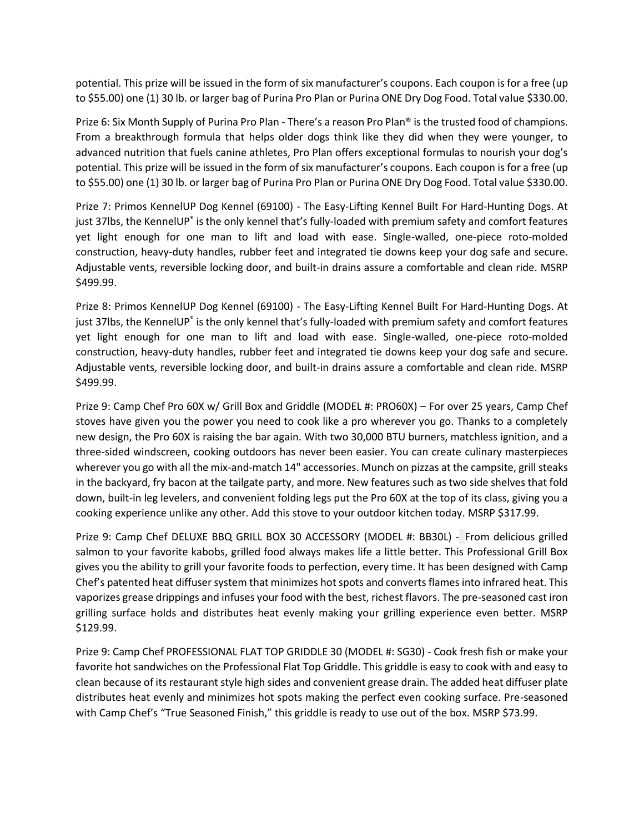potential. This prize will be issued in the form of six manufacturer's coupons. Each coupon is for a free (up to \$55.00) one (1) 30 lb. or larger bag of Purina Pro Plan or Purina ONE Dry Dog Food. Total value \$330.00.

Prize 6: Six Month Supply of Purina Pro Plan - There's a reason Pro Plan® is the trusted food of champions. From a breakthrough formula that helps older dogs think like they did when they were younger, to advanced nutrition that fuels canine athletes, Pro Plan offers exceptional formulas to nourish your dog's potential. This prize will be issued in the form of six manufacturer's coupons. Each coupon is for a free (up to \$55.00) one (1) 30 lb. or larger bag of Purina Pro Plan or Purina ONE Dry Dog Food. Total value \$330.00.

Prize 7: Primos KennelUP Dog Kennel (69100) - The Easy-Lifting Kennel Built For Hard-Hunting Dogs. At just 37lbs, the KennelUP<sup>®</sup> is the only kennel that's fully-loaded with premium safety and comfort features yet light enough for one man to lift and load with ease. Single-walled, one-piece roto-molded construction, heavy-duty handles, rubber feet and integrated tie downs keep your dog safe and secure. Adjustable vents, reversible locking door, and built-in drains assure a comfortable and clean ride. MSRP \$499.99.

Prize 8: Primos KennelUP Dog Kennel (69100) - The Easy-Lifting Kennel Built For Hard-Hunting Dogs. At just 37lbs, the KennelUP® is the only kennel that's fully-loaded with premium safety and comfort features yet light enough for one man to lift and load with ease. Single-walled, one-piece roto-molded construction, heavy-duty handles, rubber feet and integrated tie downs keep your dog safe and secure. Adjustable vents, reversible locking door, and built-in drains assure a comfortable and clean ride. MSRP \$499.99.

Prize 9: Camp Chef Pro 60X w/ Grill Box and Griddle (MODEL #: PRO60X) – For over 25 years, Camp Chef stoves have given you the power you need to cook like a pro wherever you go. Thanks to a completely new design, the Pro 60X is raising the bar again. With two 30,000 BTU burners, matchless ignition, and a three-sided windscreen, cooking outdoors has never been easier. You can create culinary masterpieces wherever you go with all the mix-and-match 14" accessories. Munch on pizzas at the campsite, grill steaks in the backyard, fry bacon at the tailgate party, and more. New features such as two side shelves that fold down, built-in leg levelers, and convenient folding legs put the Pro 60X at the top of its class, giving you a cooking experience unlike any other. Add this stove to your outdoor kitchen today. MSRP \$317.99.

Prize 9: Camp Chef DELUXE BBQ GRILL BOX 30 ACCESSORY (MODEL #: BB30L) - From delicious grilled salmon to your favorite kabobs, grilled food always makes life a little better. This Professional Grill Box gives you the ability to grill your favorite foods to perfection, every time. It has been designed with Camp Chef's patented heat diffuser system that minimizes hot spots and converts flames into infrared heat. This vaporizes grease drippings and infuses your food with the best, richest flavors. The pre-seasoned cast iron grilling surface holds and distributes heat evenly making your grilling experience even better. MSRP \$129.99.

Prize 9: Camp Chef PROFESSIONAL FLAT TOP GRIDDLE 30 (MODEL #: SG30) - Cook fresh fish or make your favorite hot sandwiches on the Professional Flat Top Griddle. This griddle is easy to cook with and easy to clean because of its restaurant style high sides and convenient grease drain. The added heat diffuser plate distributes heat evenly and minimizes hot spots making the perfect even cooking surface. Pre-seasoned with Camp Chef's "True Seasoned Finish," this griddle is ready to use out of the box. MSRP \$73.99.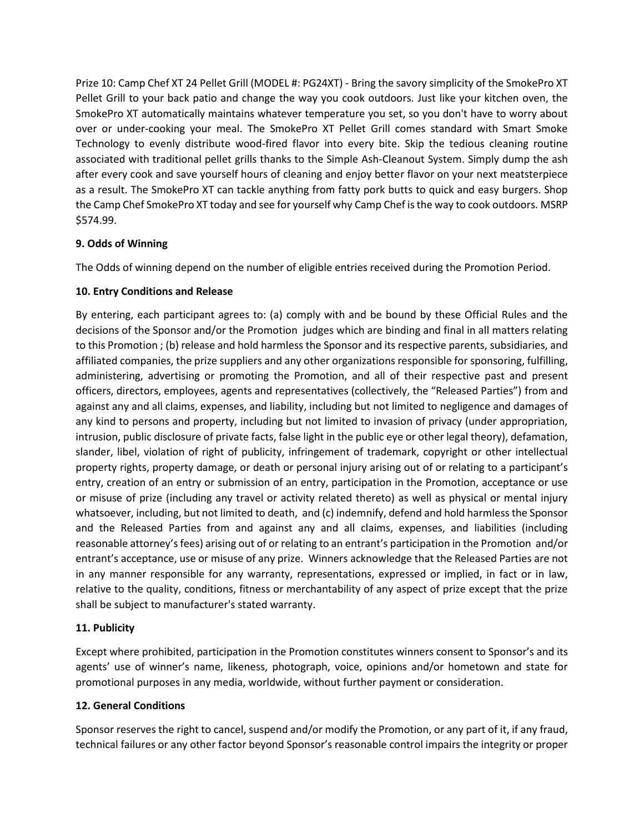Prize 10: Camp Chef XT 24 Pellet Grill (MODEL #: PG24XT) - Bring the savory simplicity of the SmokePro XT Pellet Grill to your back patio and change the way you cook outdoors. Just like your kitchen oven, the SmokePro XT automatically maintains whatever temperature you set, so you don't have to worry about over or under-cooking your meal. The SmokePro XT Pellet Grill comes standard with Smart Smoke Technology to evenly distribute wood-fired flavor into every bite. Skip the tedious cleaning routine associated with traditional pellet grills thanks to the Simple Ash-Cleanout System. Simply dump the ash after every cook and save yourself hours of cleaning and enjoy better flavor on your next meatsterpiece as a result. The SmokePro XT can tackle anything from fatty pork butts to quick and easy burgers. Shop the Camp Chef SmokePro XT today and see for yourself why Camp Chef is the way to cook outdoors. MSRP \$574.99.

## **9. Odds of Winning**

The Odds of winning depend on the number of eligible entries received during the Promotion Period.

### **10. Entry Conditions and Release**

By entering, each participant agrees to: (a) comply with and be bound by these Official Rules and the decisions of the Sponsor and/or the Promotion judges which are binding and final in all matters relating to this Promotion ; (b) release and hold harmless the Sponsor and its respective parents, subsidiaries, and affiliated companies, the prize suppliers and any other organizations responsible for sponsoring, fulfilling, administering, advertising or promoting the Promotion, and all of their respective past and present officers, directors, employees, agents and representatives (collectively, the "Released Parties") from and against any and all claims, expenses, and liability, including but not limited to negligence and damages of any kind to persons and property, including but not limited to invasion of privacy (under appropriation, intrusion, public disclosure of private facts, false light in the public eye or other legal theory), defamation, slander, libel, violation of right of publicity, infringement of trademark, copyright or other intellectual property rights, property damage, or death or personal injury arising out of or relating to a participant's entry, creation of an entry or submission of an entry, participation in the Promotion, acceptance or use or misuse of prize (including any travel or activity related thereto) as well as physical or mental injury whatsoever, including, but not limited to death, and (c) indemnify, defend and hold harmless the Sponsor and the Released Parties from and against any and all claims, expenses, and liabilities (including reasonable attorney's fees) arising out of or relating to an entrant's participation in the Promotion and/or entrant's acceptance, use or misuse of any prize. Winners acknowledge that the Released Parties are not in any manner responsible for any warranty, representations, expressed or implied, in fact or in law, relative to the quality, conditions, fitness or merchantability of any aspect of prize except that the prize shall be subject to manufacturer's stated warranty.

## **11. Publicity**

Except where prohibited, participation in the Promotion constitutes winners consent to Sponsor's and its agents' use of winner's name, likeness, photograph, voice, opinions and/or hometown and state for promotional purposes in any media, worldwide, without further payment or consideration.

### **12. General Conditions**

Sponsor reserves the right to cancel, suspend and/or modify the Promotion, or any part of it, if any fraud, technical failures or any other factor beyond Sponsor's reasonable control impairs the integrity or proper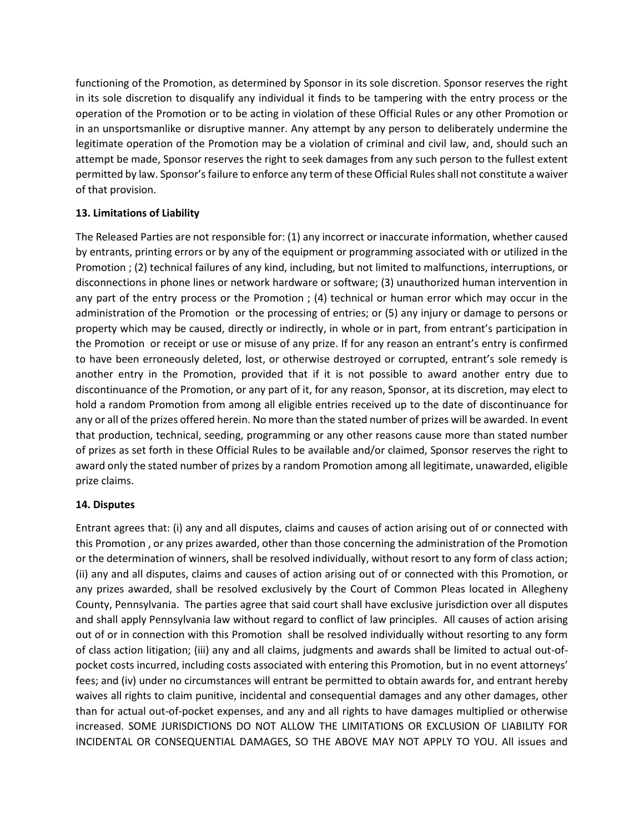functioning of the Promotion, as determined by Sponsor in its sole discretion. Sponsor reserves the right in its sole discretion to disqualify any individual it finds to be tampering with the entry process or the operation of the Promotion or to be acting in violation of these Official Rules or any other Promotion or in an unsportsmanlike or disruptive manner. Any attempt by any person to deliberately undermine the legitimate operation of the Promotion may be a violation of criminal and civil law, and, should such an attempt be made, Sponsor reserves the right to seek damages from any such person to the fullest extent permitted by law. Sponsor's failure to enforce any term of these Official Rules shall not constitute a waiver of that provision.

## **13. Limitations of Liability**

The Released Parties are not responsible for: (1) any incorrect or inaccurate information, whether caused by entrants, printing errors or by any of the equipment or programming associated with or utilized in the Promotion ; (2) technical failures of any kind, including, but not limited to malfunctions, interruptions, or disconnections in phone lines or network hardware or software; (3) unauthorized human intervention in any part of the entry process or the Promotion ; (4) technical or human error which may occur in the administration of the Promotion or the processing of entries; or (5) any injury or damage to persons or property which may be caused, directly or indirectly, in whole or in part, from entrant's participation in the Promotion or receipt or use or misuse of any prize. If for any reason an entrant's entry is confirmed to have been erroneously deleted, lost, or otherwise destroyed or corrupted, entrant's sole remedy is another entry in the Promotion, provided that if it is not possible to award another entry due to discontinuance of the Promotion, or any part of it, for any reason, Sponsor, at its discretion, may elect to hold a random Promotion from among all eligible entries received up to the date of discontinuance for any or all of the prizes offered herein. No more than the stated number of prizes will be awarded. In event that production, technical, seeding, programming or any other reasons cause more than stated number of prizes as set forth in these Official Rules to be available and/or claimed, Sponsor reserves the right to award only the stated number of prizes by a random Promotion among all legitimate, unawarded, eligible prize claims.

### **14. Disputes**

Entrant agrees that: (i) any and all disputes, claims and causes of action arising out of or connected with this Promotion , or any prizes awarded, other than those concerning the administration of the Promotion or the determination of winners, shall be resolved individually, without resort to any form of class action; (ii) any and all disputes, claims and causes of action arising out of or connected with this Promotion, or any prizes awarded, shall be resolved exclusively by the Court of Common Pleas located in Allegheny County, Pennsylvania. The parties agree that said court shall have exclusive jurisdiction over all disputes and shall apply Pennsylvania law without regard to conflict of law principles. All causes of action arising out of or in connection with this Promotion shall be resolved individually without resorting to any form of class action litigation; (iii) any and all claims, judgments and awards shall be limited to actual out-ofpocket costs incurred, including costs associated with entering this Promotion, but in no event attorneys' fees; and (iv) under no circumstances will entrant be permitted to obtain awards for, and entrant hereby waives all rights to claim punitive, incidental and consequential damages and any other damages, other than for actual out-of-pocket expenses, and any and all rights to have damages multiplied or otherwise increased. SOME JURISDICTIONS DO NOT ALLOW THE LIMITATIONS OR EXCLUSION OF LIABILITY FOR INCIDENTAL OR CONSEQUENTIAL DAMAGES, SO THE ABOVE MAY NOT APPLY TO YOU. All issues and